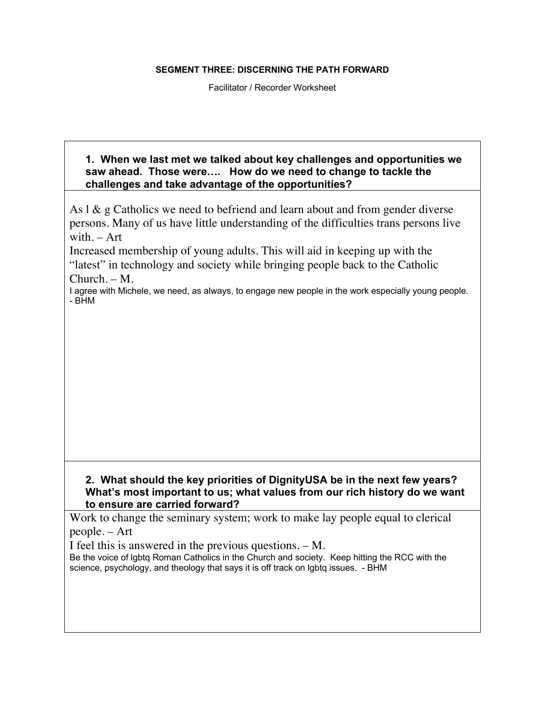## **SEGMENT THREE: DISCERNING THE PATH FORWARD**

Facilitator / Recorder Worksheet

## **1. When we last met we talked about key challenges and opportunities we saw ahead. Those were…. How do we need to change to tackle the challenges and take advantage of the opportunities?**

As  $1 \& g$  Catholics we need to befriend and learn about and from gender diverse persons. Many of us have little understanding of the difficulties trans persons live with. – Art

Increased membership of young adults. This will aid in keeping up with the "latest" in technology and society while bringing people back to the Catholic Church. – M.

I agree with Michele, we need, as always, to engage new people in the work especially young people. - BHM

## **2. What should the key priorities of DignityUSA be in the next few years? What's most important to us; what values from our rich history do we want to ensure are carried forward?**

Work to change the seminary system; work to make lay people equal to clerical people. – Art

I feel this is answered in the previous questions. – M.

Be the voice of lgbtq Roman Catholics in the Church and society. Keep hitting the RCC with the science, psychology, and theology that says it is off track on lgbtq issues. - BHM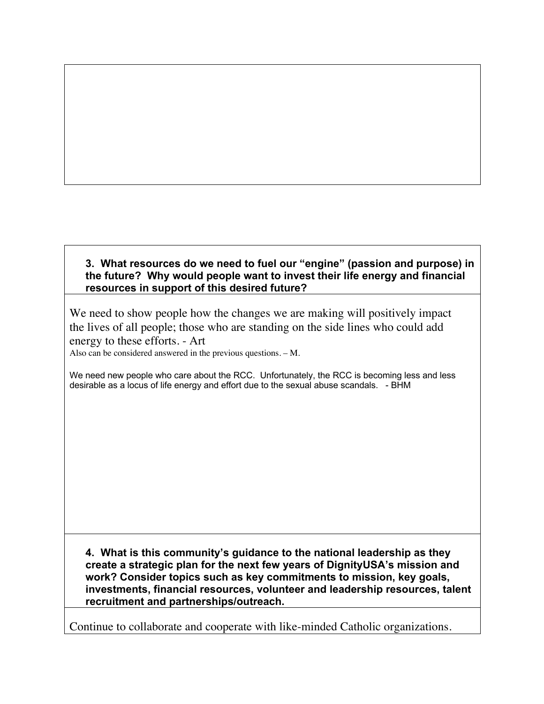## **3. What resources do we need to fuel our "engine" (passion and purpose) in the future? Why would people want to invest their life energy and financial resources in support of this desired future?**

We need to show people how the changes we are making will positively impact the lives of all people; those who are standing on the side lines who could add energy to these efforts. - Art

Also can be considered answered in the previous questions. – M.

We need new people who care about the RCC. Unfortunately, the RCC is becoming less and less desirable as a locus of life energy and effort due to the sexual abuse scandals. - BHM

**4. What is this community's guidance to the national leadership as they create a strategic plan for the next few years of DignityUSA's mission and work? Consider topics such as key commitments to mission, key goals, investments, financial resources, volunteer and leadership resources, talent recruitment and partnerships/outreach.**

Continue to collaborate and cooperate with like-minded Catholic organizations.